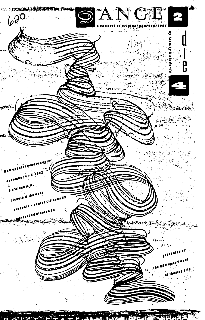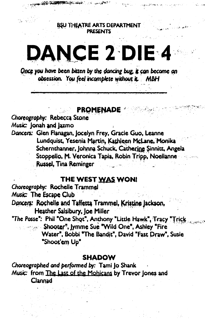BSU THEATRE ARTS DEPARTMENT **PRESENTS** 

يسين للمن

karan seus geres£i s

# **DANCE 2 DIE 4**

Once you have been bitten by the dancing bug, it can become an obsession. You feel incomplete without it. MBH

## **PROMENADE**

### Choreography: Rebecca Stone Music: Jonah and Jazmo

Dancers: Glen Flanagan, Jocelyn Frey, Gracie Guo, Leanne Lundquist, Yesenia Martin, Kathleen McLane, Monika Schernthanner, Johnna Schuck, Catherine Sinnitt, Angela Stoppello, M. Veronica Tapia, Robin Tripp, Noellanne **Russel, Tina Reminger** 

## THE WEST WAS WON!

Choreography: Rochelle Trammel Music: The Escape Club Dancers: Rochelle and Taffetta Trammel, Kristine Jackson, Heather Salsibury, Joe Miller

"The Posse": Phil "One Shot", Anthony "Little Hawk", Tracy "Trick Shooter", lymme Sue "Wild One", Ashley "Fire Water", Bobbi "The Bandit", David "Fast Draw", Susie "Shoot'em Up"

#### **SHADOW**

Choreographed and performed by: Tami Jo Shank Music: from The Last of the Mohicans by Trevor Jones and Clannad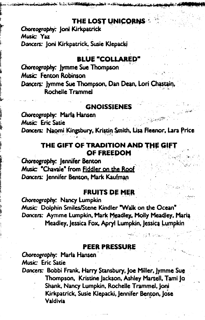## THE LOST UNICORNS

Choreography: Joni Kirkpatrick Music: Yaz Dancers: Joni Kirkpatrick, Susie Klepacki

## **BLUE "COLLARED"**

Choreography: Jymme Sue Thompson Music: Fenton Robinson Dancers: Jymme Sue Thompson, Dan Dean, Lori Chastain, Rochelle Trammel

## **GNOISSIENES**

Choreography: Marla Hansen Music: Eric Satie Dancers: Naomi Kingsbury, Kristin Smith, Lisa Fleenor, Lara Price

## THE GIFT OF TRADITION AND THE GIFT OF FREEDOM

Choreography: Jennifer Benton Music: "Chavale" from Fiddler on the Roof Dancers: Jennifer Benton, Mark Kaufman

## **FRUITS DE MER**

Choreography: Nancy Lumpkin Music: Dolphin Smiles/Stene Kindler "Walk on the Ocean" Dancers: Aymme Lumpkin, Mark Meadley, Molly Meadley, Maria Meadley, Jessica Fox, Apryl Lumpkin, Jessica Lumpkin

#### **PEER PRESSURE**

Choreography: Marla Hansen Music: Eric Satie

Dancers: Bobbi Frank, Harry Stansbury, Joe Miller, Jymme Sue Thompson, Kristine Jackson, Ashley Martell, Tami Jo Shank, Nancy Lumpkin, Rochelle Trammel, Joni Kirkpatrick, Susie Klepacki, Jennifer Benton, Jose Valdivia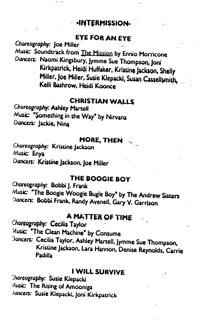## **INTERMISSION-**

## EYE FOR AN EYE

Choreography: Joe Miller Music: Soundtrack from The Mission by Ennio Morricone Dancers: Naomi Kingsbury, Jymme Sue Thompson, Joni Kirkpatrick, Heidi Huffaker, Kristine Jackson, Shelly Miller, Joe Miller, Susie Klepacki, Susan Cassellsmith, Kelli Bashrow. Heidi Koonce

## **CHRISTIAN WALLS**

Choreography: Ashley Martell Music: "Something in the Way" by Nirvana Dancers: Jackie, Nina

## MORE, THEN

Choreography: Kristine Jackson Music: Enya Dancers: Kristine Jackson, Joe Miller

## THE BOOGIE BOY

Choreography: Bobbi J. Frank Music: "The Boogie Woogie Bugle Boy" by The Andrew Sisters Dancers: Bobbi Frank, Randy Avenell, Gary V. Garrison

## A MATTER OF TIME

Choreography: Cecilia Taylor Music: "The Clean Machine" by Consume Dancers: Cecilia Taylor, Ashley Martell, Jymme Sue Thompson, Kristine Jackson, Lara Hannon, Denise Reynolds, Carrie Padilla

## **I WILL SURVIVE**

Choreography: Susie Klepacki Music: The Rising of Amooniga Jancers: Susie Klepacki, Joni Kirkpatrick